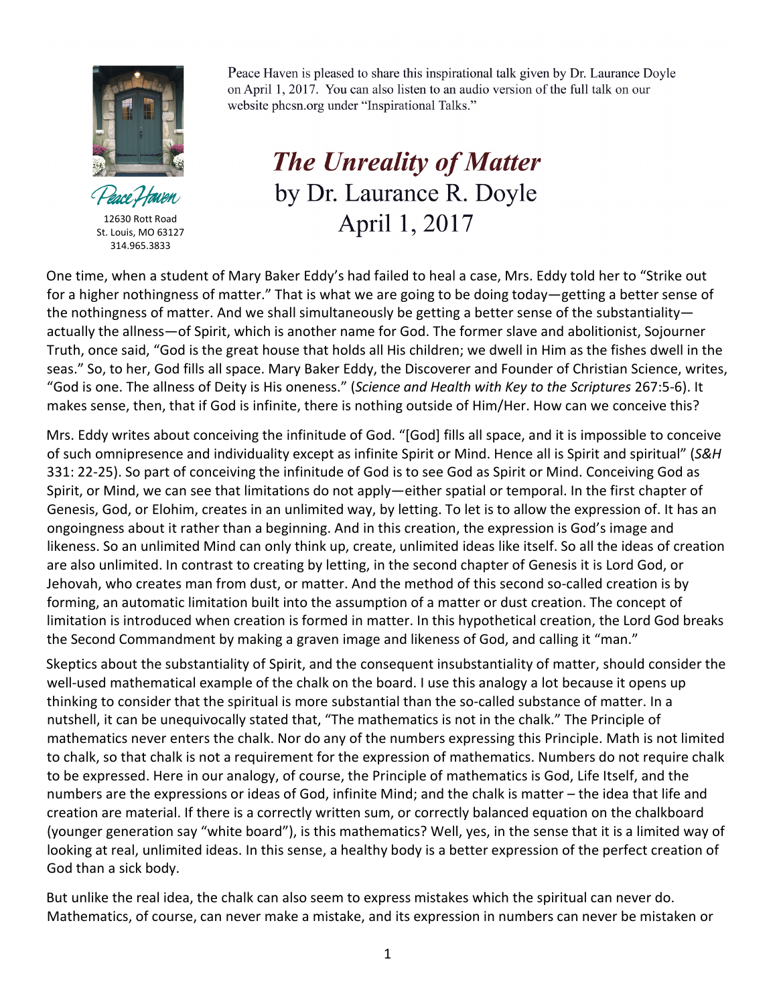

Peace Haven

12630 Rott Road St. Louis, MO 63127 314.965.3833

Peace Haven is pleased to share this inspirational talk given by Dr. Laurance Doyle on April 1, 2017. You can also listen to an audio version of the full talk on our website phcsn.org under "Inspirational Talks."

**The Unreality of Matter** by Dr. Laurance R. Doyle April 1, 2017

One time, when a student of Mary Baker Eddy's had failed to heal a case, Mrs. Eddy told her to "Strike out for a higher nothingness of matter." That is what we are going to be doing today—getting a better sense of the nothingness of matter. And we shall simultaneously be getting a better sense of the substantiality actually the allness—of Spirit, which is another name for God. The former slave and abolitionist, Sojourner Truth, once said, "God is the great house that holds all His children; we dwell in Him as the fishes dwell in the seas." So, to her, God fills all space. Mary Baker Eddy, the Discoverer and Founder of Christian Science, writes, "God is one. The allness of Deity is His oneness." (*Science and Health with Key to the Scriptures* 267:5-6). It makes sense, then, that if God is infinite, there is nothing outside of Him/Her. How can we conceive this?

Mrs. Eddy writes about conceiving the infinitude of God. "[God] fills all space, and it is impossible to conceive of such omnipresence and individuality except as infinite Spirit or Mind. Hence all is Spirit and spiritual" (*S&H* 331: 22-25). So part of conceiving the infinitude of God is to see God as Spirit or Mind. Conceiving God as Spirit, or Mind, we can see that limitations do not apply—either spatial or temporal. In the first chapter of Genesis, God, or Elohim, creates in an unlimited way, by letting. To let is to allow the expression of. It has an ongoingness about it rather than a beginning. And in this creation, the expression is God's image and likeness. So an unlimited Mind can only think up, create, unlimited ideas like itself. So all the ideas of creation are also unlimited. In contrast to creating by letting, in the second chapter of Genesis it is Lord God, or Jehovah, who creates man from dust, or matter. And the method of this second so-called creation is by forming, an automatic limitation built into the assumption of a matter or dust creation. The concept of limitation is introduced when creation is formed in matter. In this hypothetical creation, the Lord God breaks the Second Commandment by making a graven image and likeness of God, and calling it "man."

Skeptics about the substantiality of Spirit, and the consequent insubstantiality of matter, should consider the well-used mathematical example of the chalk on the board. I use this analogy a lot because it opens up thinking to consider that the spiritual is more substantial than the so-called substance of matter. In a nutshell, it can be unequivocally stated that, "The mathematics is not in the chalk." The Principle of mathematics never enters the chalk. Nor do any of the numbers expressing this Principle. Math is not limited to chalk, so that chalk is not a requirement for the expression of mathematics. Numbers do not require chalk to be expressed. Here in our analogy, of course, the Principle of mathematics is God, Life Itself, and the numbers are the expressions or ideas of God, infinite Mind; and the chalk is matter – the idea that life and creation are material. If there is a correctly written sum, or correctly balanced equation on the chalkboard (younger generation say "white board"), is this mathematics? Well, yes, in the sense that it is a limited way of looking at real, unlimited ideas. In this sense, a healthy body is a better expression of the perfect creation of God than a sick body.

But unlike the real idea, the chalk can also seem to express mistakes which the spiritual can never do. Mathematics, of course, can never make a mistake, and its expression in numbers can never be mistaken or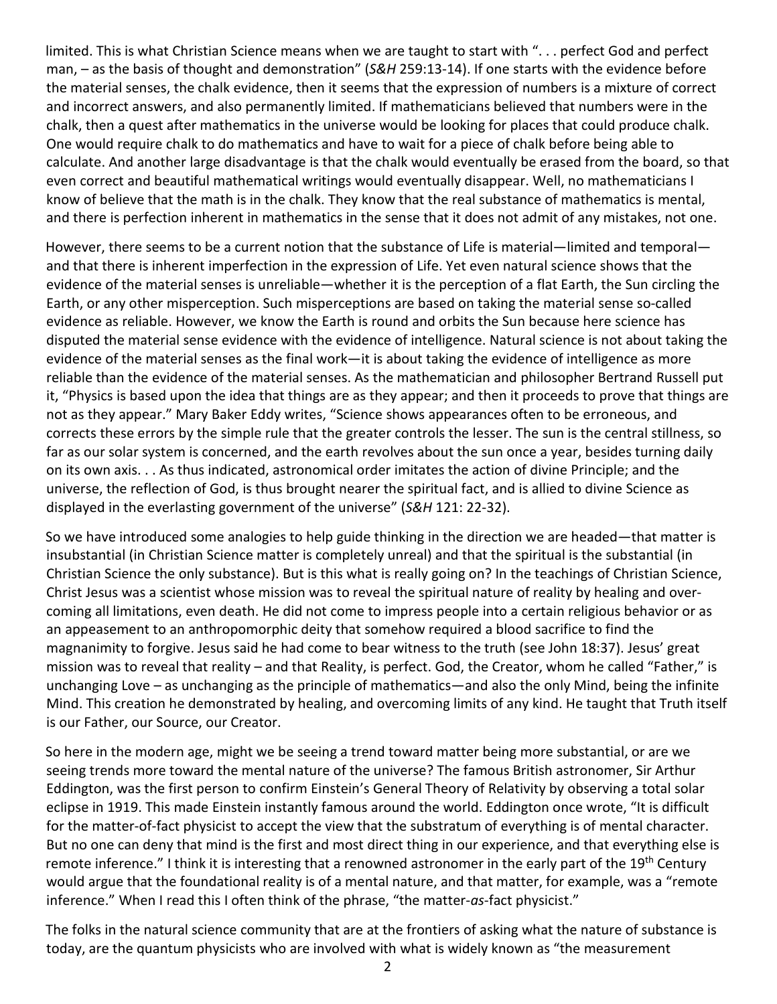limited. This is what Christian Science means when we are taught to start with ". . . perfect God and perfect man, – as the basis of thought and demonstration" (*S&H* 259:13-14). If one starts with the evidence before the material senses, the chalk evidence, then it seems that the expression of numbers is a mixture of correct and incorrect answers, and also permanently limited. If mathematicians believed that numbers were in the chalk, then a quest after mathematics in the universe would be looking for places that could produce chalk. One would require chalk to do mathematics and have to wait for a piece of chalk before being able to calculate. And another large disadvantage is that the chalk would eventually be erased from the board, so that even correct and beautiful mathematical writings would eventually disappear. Well, no mathematicians I know of believe that the math is in the chalk. They know that the real substance of mathematics is mental, and there is perfection inherent in mathematics in the sense that it does not admit of any mistakes, not one.

However, there seems to be a current notion that the substance of Life is material—limited and temporal and that there is inherent imperfection in the expression of Life. Yet even natural science shows that the evidence of the material senses is unreliable—whether it is the perception of a flat Earth, the Sun circling the Earth, or any other misperception. Such misperceptions are based on taking the material sense so-called evidence as reliable. However, we know the Earth is round and orbits the Sun because here science has disputed the material sense evidence with the evidence of intelligence. Natural science is not about taking the evidence of the material senses as the final work—it is about taking the evidence of intelligence as more reliable than the evidence of the material senses. As the mathematician and philosopher Bertrand Russell put it, "Physics is based upon the idea that things are as they appear; and then it proceeds to prove that things are not as they appear." Mary Baker Eddy writes, "Science shows appearances often to be erroneous, and corrects these errors by the simple rule that the greater controls the lesser. The sun is the central stillness, so far as our solar system is concerned, and the earth revolves about the sun once a year, besides turning daily on its own axis. . . As thus indicated, astronomical order imitates the action of divine Principle; and the universe, the reflection of God, is thus brought nearer the spiritual fact, and is allied to divine Science as displayed in the everlasting government of the universe" (*S&H* 121: 22-32).

So we have introduced some analogies to help guide thinking in the direction we are headed—that matter is insubstantial (in Christian Science matter is completely unreal) and that the spiritual is the substantial (in Christian Science the only substance). But is this what is really going on? In the teachings of Christian Science, Christ Jesus was a scientist whose mission was to reveal the spiritual nature of reality by healing and overcoming all limitations, even death. He did not come to impress people into a certain religious behavior or as an appeasement to an anthropomorphic deity that somehow required a blood sacrifice to find the magnanimity to forgive. Jesus said he had come to bear witness to the truth (see John 18:37). Jesus' great mission was to reveal that reality – and that Reality, is perfect. God, the Creator, whom he called "Father," is unchanging Love – as unchanging as the principle of mathematics—and also the only Mind, being the infinite Mind. This creation he demonstrated by healing, and overcoming limits of any kind. He taught that Truth itself is our Father, our Source, our Creator.

So here in the modern age, might we be seeing a trend toward matter being more substantial, or are we seeing trends more toward the mental nature of the universe? The famous British astronomer, Sir Arthur Eddington, was the first person to confirm Einstein's General Theory of Relativity by observing a total solar eclipse in 1919. This made Einstein instantly famous around the world. Eddington once wrote, "It is difficult for the matter-of-fact physicist to accept the view that the substratum of everything is of mental character. But no one can deny that mind is the first and most direct thing in our experience, and that everything else is remote inference." I think it is interesting that a renowned astronomer in the early part of the 19<sup>th</sup> Century would argue that the foundational reality is of a mental nature, and that matter, for example, was a "remote inference." When I read this I often think of the phrase, "the matter-*as*-fact physicist."

The folks in the natural science community that are at the frontiers of asking what the nature of substance is today, are the quantum physicists who are involved with what is widely known as "the measurement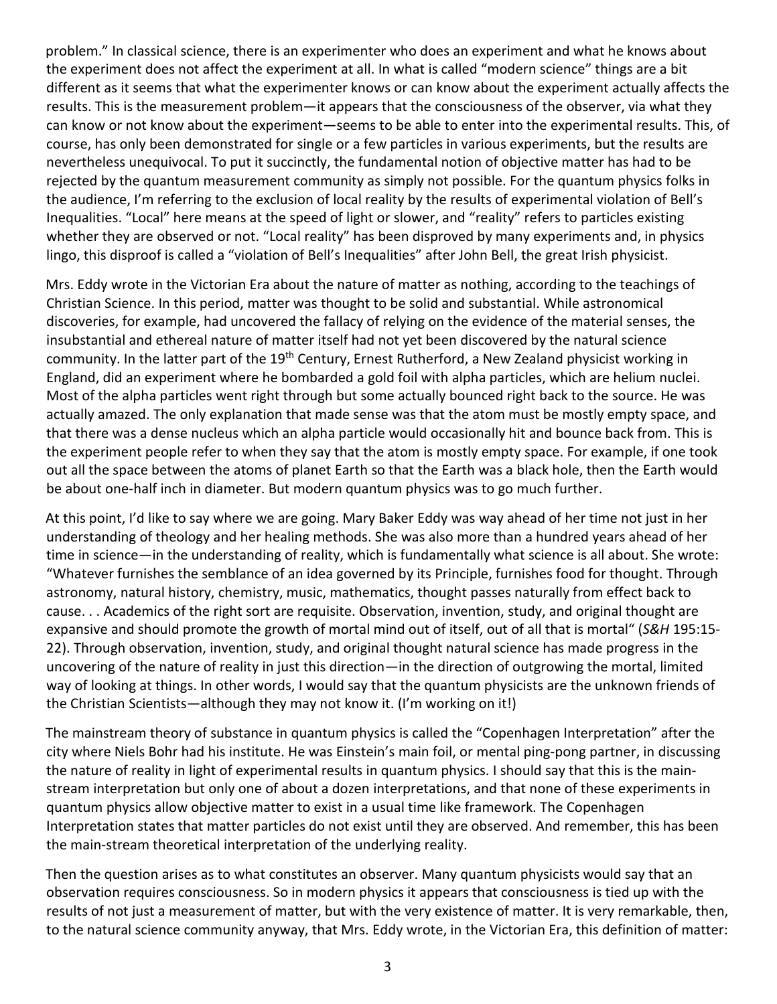problem." In classical science, there is an experimenter who does an experiment and what he knows about the experiment does not affect the experiment at all. In what is called "modern science" things are a bit different as it seems that what the experimenter knows or can know about the experiment actually affects the results. This is the measurement problem—it appears that the consciousness of the observer, via what they can know or not know about the experiment—seems to be able to enter into the experimental results. This, of course, has only been demonstrated for single or a few particles in various experiments, but the results are nevertheless unequivocal. To put it succinctly, the fundamental notion of objective matter has had to be rejected by the quantum measurement community as simply not possible. For the quantum physics folks in the audience, I'm referring to the exclusion of local reality by the results of experimental violation of Bell's Inequalities. "Local" here means at the speed of light or slower, and "reality" refers to particles existing whether they are observed or not. "Local reality" has been disproved by many experiments and, in physics lingo, this disproof is called a "violation of Bell's Inequalities" after John Bell, the great Irish physicist.

Mrs. Eddy wrote in the Victorian Era about the nature of matter as nothing, according to the teachings of Christian Science. In this period, matter was thought to be solid and substantial. While astronomical discoveries, for example, had uncovered the fallacy of relying on the evidence of the material senses, the insubstantial and ethereal nature of matter itself had not yet been discovered by the natural science community. In the latter part of the 19<sup>th</sup> Century, Ernest Rutherford, a New Zealand physicist working in England, did an experiment where he bombarded a gold foil with alpha particles, which are helium nuclei. Most of the alpha particles went right through but some actually bounced right back to the source. He was actually amazed. The only explanation that made sense was that the atom must be mostly empty space, and that there was a dense nucleus which an alpha particle would occasionally hit and bounce back from. This is the experiment people refer to when they say that the atom is mostly empty space. For example, if one took out all the space between the atoms of planet Earth so that the Earth was a black hole, then the Earth would be about one-half inch in diameter. But modern quantum physics was to go much further.

At this point, I'd like to say where we are going. Mary Baker Eddy was way ahead of her time not just in her understanding of theology and her healing methods. She was also more than a hundred years ahead of her time in science—in the understanding of reality, which is fundamentally what science is all about. She wrote: "Whatever furnishes the semblance of an idea governed by its Principle, furnishes food for thought. Through astronomy, natural history, chemistry, music, mathematics, thought passes naturally from effect back to cause. . . Academics of the right sort are requisite. Observation, invention, study, and original thought are expansive and should promote the growth of mortal mind out of itself, out of all that is mortal" (*S&H* 195:15- 22). Through observation, invention, study, and original thought natural science has made progress in the uncovering of the nature of reality in just this direction—in the direction of outgrowing the mortal, limited way of looking at things. In other words, I would say that the quantum physicists are the unknown friends of the Christian Scientists—although they may not know it. (I'm working on it!)

The mainstream theory of substance in quantum physics is called the "Copenhagen Interpretation" after the city where Niels Bohr had his institute. He was Einstein's main foil, or mental ping-pong partner, in discussing the nature of reality in light of experimental results in quantum physics. I should say that this is the mainstream interpretation but only one of about a dozen interpretations, and that none of these experiments in quantum physics allow objective matter to exist in a usual time like framework. The Copenhagen Interpretation states that matter particles do not exist until they are observed. And remember, this has been the main-stream theoretical interpretation of the underlying reality.

Then the question arises as to what constitutes an observer. Many quantum physicists would say that an observation requires consciousness. So in modern physics it appears that consciousness is tied up with the results of not just a measurement of matter, but with the very existence of matter. It is very remarkable, then, to the natural science community anyway, that Mrs. Eddy wrote, in the Victorian Era, this definition of matter: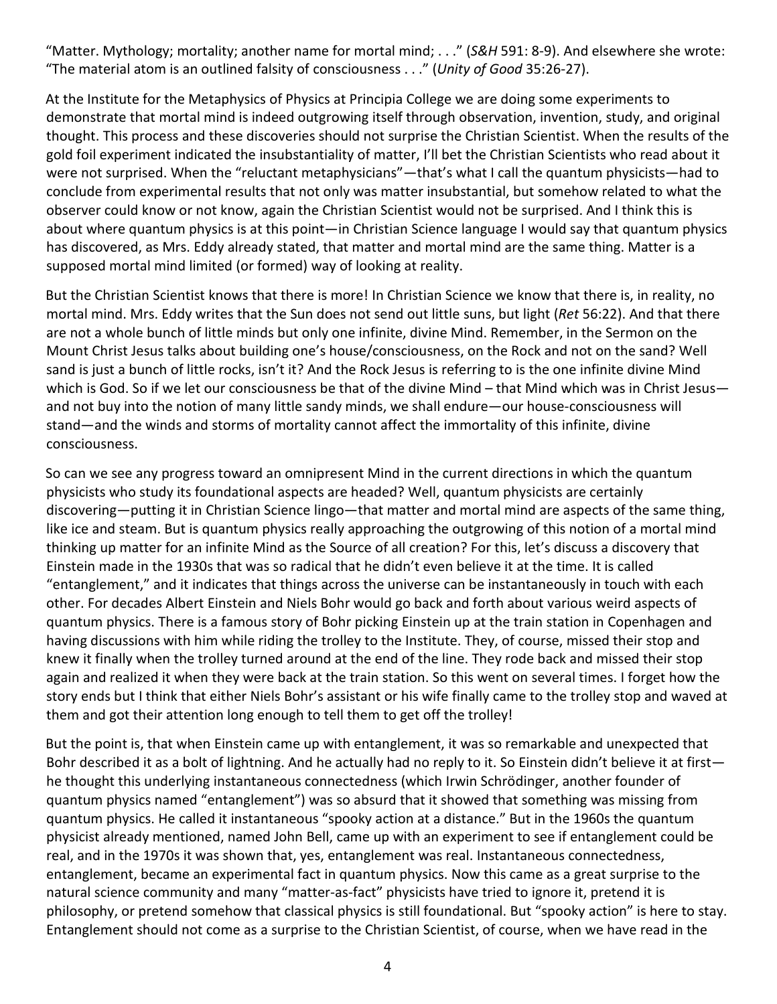"Matter. Mythology; mortality; another name for mortal mind; . . ." (*S&H* 591: 8-9). And elsewhere she wrote: "The material atom is an outlined falsity of consciousness . . ." (*Unity of Good* 35:26-27).

At the Institute for the Metaphysics of Physics at Principia College we are doing some experiments to demonstrate that mortal mind is indeed outgrowing itself through observation, invention, study, and original thought. This process and these discoveries should not surprise the Christian Scientist. When the results of the gold foil experiment indicated the insubstantiality of matter, I'll bet the Christian Scientists who read about it were not surprised. When the "reluctant metaphysicians"—that's what I call the quantum physicists—had to conclude from experimental results that not only was matter insubstantial, but somehow related to what the observer could know or not know, again the Christian Scientist would not be surprised. And I think this is about where quantum physics is at this point—in Christian Science language I would say that quantum physics has discovered, as Mrs. Eddy already stated, that matter and mortal mind are the same thing. Matter is a supposed mortal mind limited (or formed) way of looking at reality.

But the Christian Scientist knows that there is more! In Christian Science we know that there is, in reality, no mortal mind. Mrs. Eddy writes that the Sun does not send out little suns, but light (*Ret* 56:22). And that there are not a whole bunch of little minds but only one infinite, divine Mind. Remember, in the Sermon on the Mount Christ Jesus talks about building one's house/consciousness, on the Rock and not on the sand? Well sand is just a bunch of little rocks, isn't it? And the Rock Jesus is referring to is the one infinite divine Mind which is God. So if we let our consciousness be that of the divine Mind – that Mind which was in Christ Jesus and not buy into the notion of many little sandy minds, we shall endure—our house-consciousness will stand—and the winds and storms of mortality cannot affect the immortality of this infinite, divine consciousness.

So can we see any progress toward an omnipresent Mind in the current directions in which the quantum physicists who study its foundational aspects are headed? Well, quantum physicists are certainly discovering—putting it in Christian Science lingo—that matter and mortal mind are aspects of the same thing, like ice and steam. But is quantum physics really approaching the outgrowing of this notion of a mortal mind thinking up matter for an infinite Mind as the Source of all creation? For this, let's discuss a discovery that Einstein made in the 1930s that was so radical that he didn't even believe it at the time. It is called "entanglement," and it indicates that things across the universe can be instantaneously in touch with each other. For decades Albert Einstein and Niels Bohr would go back and forth about various weird aspects of quantum physics. There is a famous story of Bohr picking Einstein up at the train station in Copenhagen and having discussions with him while riding the trolley to the Institute. They, of course, missed their stop and knew it finally when the trolley turned around at the end of the line. They rode back and missed their stop again and realized it when they were back at the train station. So this went on several times. I forget how the story ends but I think that either Niels Bohr's assistant or his wife finally came to the trolley stop and waved at them and got their attention long enough to tell them to get off the trolley!

But the point is, that when Einstein came up with entanglement, it was so remarkable and unexpected that Bohr described it as a bolt of lightning. And he actually had no reply to it. So Einstein didn't believe it at first he thought this underlying instantaneous connectedness (which Irwin Schrödinger, another founder of quantum physics named "entanglement") was so absurd that it showed that something was missing from quantum physics. He called it instantaneous "spooky action at a distance." But in the 1960s the quantum physicist already mentioned, named John Bell, came up with an experiment to see if entanglement could be real, and in the 1970s it was shown that, yes, entanglement was real. Instantaneous connectedness, entanglement, became an experimental fact in quantum physics. Now this came as a great surprise to the natural science community and many "matter-as-fact" physicists have tried to ignore it, pretend it is philosophy, or pretend somehow that classical physics is still foundational. But "spooky action" is here to stay. Entanglement should not come as a surprise to the Christian Scientist, of course, when we have read in the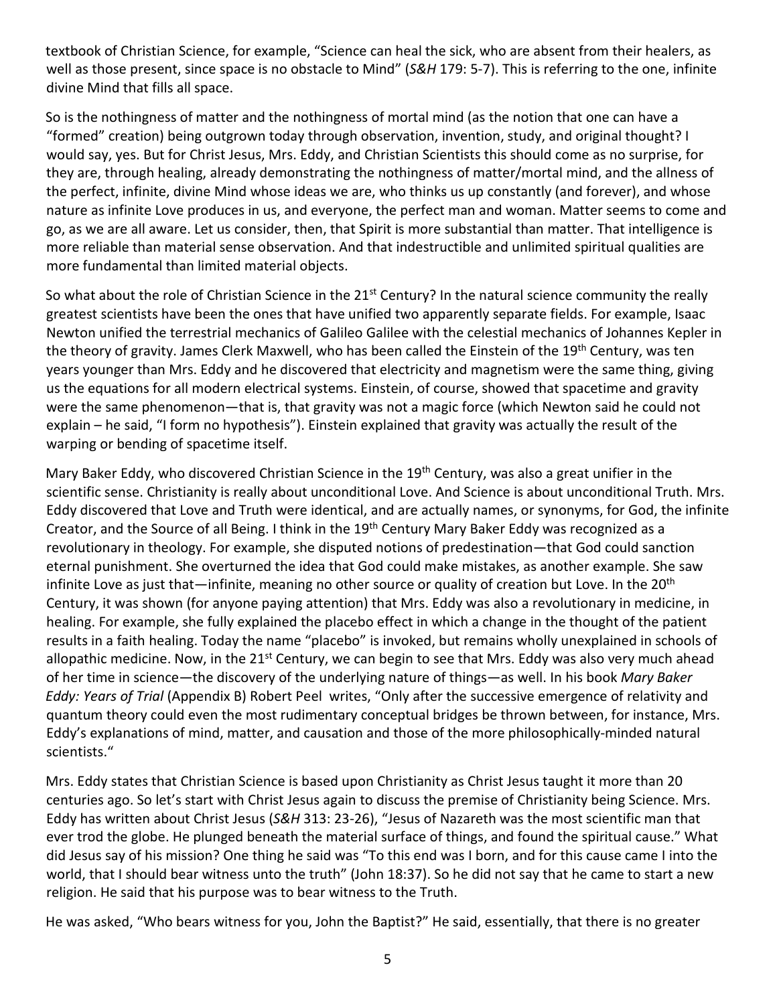textbook of Christian Science, for example, "Science can heal the sick, who are absent from their healers, as well as those present, since space is no obstacle to Mind" (*S&H* 179: 5-7). This is referring to the one, infinite divine Mind that fills all space.

So is the nothingness of matter and the nothingness of mortal mind (as the notion that one can have a "formed" creation) being outgrown today through observation, invention, study, and original thought? I would say, yes. But for Christ Jesus, Mrs. Eddy, and Christian Scientists this should come as no surprise, for they are, through healing, already demonstrating the nothingness of matter/mortal mind, and the allness of the perfect, infinite, divine Mind whose ideas we are, who thinks us up constantly (and forever), and whose nature as infinite Love produces in us, and everyone, the perfect man and woman. Matter seems to come and go, as we are all aware. Let us consider, then, that Spirit is more substantial than matter. That intelligence is more reliable than material sense observation. And that indestructible and unlimited spiritual qualities are more fundamental than limited material objects.

So what about the role of Christian Science in the 21<sup>st</sup> Century? In the natural science community the really greatest scientists have been the ones that have unified two apparently separate fields. For example, Isaac Newton unified the terrestrial mechanics of Galileo Galilee with the celestial mechanics of Johannes Kepler in the theory of gravity. James Clerk Maxwell, who has been called the Einstein of the 19<sup>th</sup> Century, was ten years younger than Mrs. Eddy and he discovered that electricity and magnetism were the same thing, giving us the equations for all modern electrical systems. Einstein, of course, showed that spacetime and gravity were the same phenomenon—that is, that gravity was not a magic force (which Newton said he could not explain – he said, "I form no hypothesis"). Einstein explained that gravity was actually the result of the warping or bending of spacetime itself.

Mary Baker Eddy, who discovered Christian Science in the 19<sup>th</sup> Century, was also a great unifier in the scientific sense. Christianity is really about unconditional Love. And Science is about unconditional Truth. Mrs. Eddy discovered that Love and Truth were identical, and are actually names, or synonyms, for God, the infinite Creator, and the Source of all Being. I think in the 19th Century Mary Baker Eddy was recognized as a revolutionary in theology. For example, she disputed notions of predestination—that God could sanction eternal punishment. She overturned the idea that God could make mistakes, as another example. She saw infinite Love as just that—infinite, meaning no other source or quality of creation but Love. In the 20<sup>th</sup> Century, it was shown (for anyone paying attention) that Mrs. Eddy was also a revolutionary in medicine, in healing. For example, she fully explained the placebo effect in which a change in the thought of the patient results in a faith healing. Today the name "placebo" is invoked, but remains wholly unexplained in schools of allopathic medicine. Now, in the 21<sup>st</sup> Century, we can begin to see that Mrs. Eddy was also very much ahead of her time in science—the discovery of the underlying nature of things—as well. In his book *Mary Baker Eddy: Years of Trial* (Appendix B) Robert Peel writes, "Only after the successive emergence of relativity and quantum theory could even the most rudimentary conceptual bridges be thrown between, for instance, Mrs. Eddy's explanations of mind, matter, and causation and those of the more philosophically-minded natural scientists."

Mrs. Eddy states that Christian Science is based upon Christianity as Christ Jesus taught it more than 20 centuries ago. So let's start with Christ Jesus again to discuss the premise of Christianity being Science. Mrs. Eddy has written about Christ Jesus (*S&H* 313: 23-26), "Jesus of Nazareth was the most scientific man that ever trod the globe. He plunged beneath the material surface of things, and found the spiritual cause." What did Jesus say of his mission? One thing he said was "To this end was I born, and for this cause came I into the world, that I should bear witness unto the truth" (John 18:37). So he did not say that he came to start a new religion. He said that his purpose was to bear witness to the Truth.

He was asked, "Who bears witness for you, John the Baptist?" He said, essentially, that there is no greater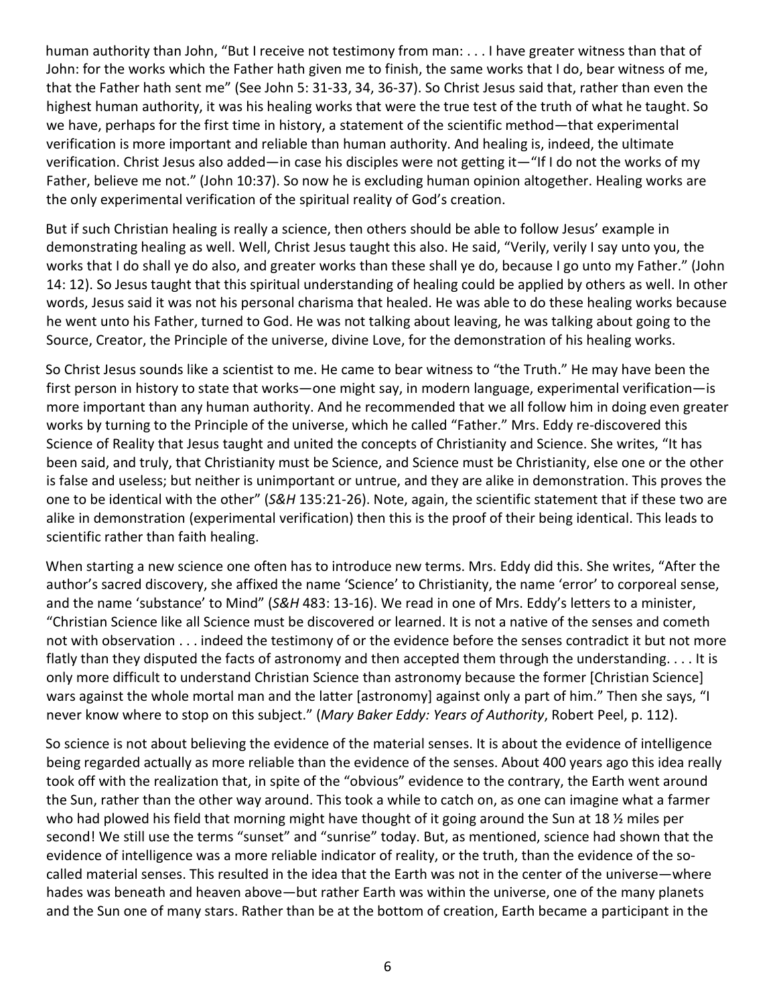human authority than John, "But I receive not testimony from man: . . . I have greater witness than that of John: for the works which the Father hath given me to finish, the same works that I do, bear witness of me, that the Father hath sent me" (See John 5: 31-33, 34, 36-37). So Christ Jesus said that, rather than even the highest human authority, it was his healing works that were the true test of the truth of what he taught. So we have, perhaps for the first time in history, a statement of the scientific method—that experimental verification is more important and reliable than human authority. And healing is, indeed, the ultimate verification. Christ Jesus also added—in case his disciples were not getting it—"If I do not the works of my Father, believe me not." (John 10:37). So now he is excluding human opinion altogether. Healing works are the only experimental verification of the spiritual reality of God's creation.

But if such Christian healing is really a science, then others should be able to follow Jesus' example in demonstrating healing as well. Well, Christ Jesus taught this also. He said, "Verily, verily I say unto you, the works that I do shall ye do also, and greater works than these shall ye do, because I go unto my Father." (John 14: 12). So Jesus taught that this spiritual understanding of healing could be applied by others as well. In other words, Jesus said it was not his personal charisma that healed. He was able to do these healing works because he went unto his Father, turned to God. He was not talking about leaving, he was talking about going to the Source, Creator, the Principle of the universe, divine Love, for the demonstration of his healing works.

So Christ Jesus sounds like a scientist to me. He came to bear witness to "the Truth." He may have been the first person in history to state that works—one might say, in modern language, experimental verification—is more important than any human authority. And he recommended that we all follow him in doing even greater works by turning to the Principle of the universe, which he called "Father." Mrs. Eddy re-discovered this Science of Reality that Jesus taught and united the concepts of Christianity and Science. She writes, "It has been said, and truly, that Christianity must be Science, and Science must be Christianity, else one or the other is false and useless; but neither is unimportant or untrue, and they are alike in demonstration. This proves the one to be identical with the other" (*S&H* 135:21-26). Note, again, the scientific statement that if these two are alike in demonstration (experimental verification) then this is the proof of their being identical. This leads to scientific rather than faith healing.

When starting a new science one often has to introduce new terms. Mrs. Eddy did this. She writes, "After the author's sacred discovery, she affixed the name 'Science' to Christianity, the name 'error' to corporeal sense, and the name 'substance' to Mind" (*S&H* 483: 13-16). We read in one of Mrs. Eddy's letters to a minister, "Christian Science like all Science must be discovered or learned. It is not a native of the senses and cometh not with observation . . . indeed the testimony of or the evidence before the senses contradict it but not more flatly than they disputed the facts of astronomy and then accepted them through the understanding. . . . It is only more difficult to understand Christian Science than astronomy because the former [Christian Science] wars against the whole mortal man and the latter [astronomy] against only a part of him." Then she says, "I never know where to stop on this subject." (*Mary Baker Eddy: Years of Authority*, Robert Peel, p. 112).

So science is not about believing the evidence of the material senses. It is about the evidence of intelligence being regarded actually as more reliable than the evidence of the senses. About 400 years ago this idea really took off with the realization that, in spite of the "obvious" evidence to the contrary, the Earth went around the Sun, rather than the other way around. This took a while to catch on, as one can imagine what a farmer who had plowed his field that morning might have thought of it going around the Sun at 18  $\frac{1}{2}$  miles per second! We still use the terms "sunset" and "sunrise" today. But, as mentioned, science had shown that the evidence of intelligence was a more reliable indicator of reality, or the truth, than the evidence of the socalled material senses. This resulted in the idea that the Earth was not in the center of the universe—where hades was beneath and heaven above—but rather Earth was within the universe, one of the many planets and the Sun one of many stars. Rather than be at the bottom of creation, Earth became a participant in the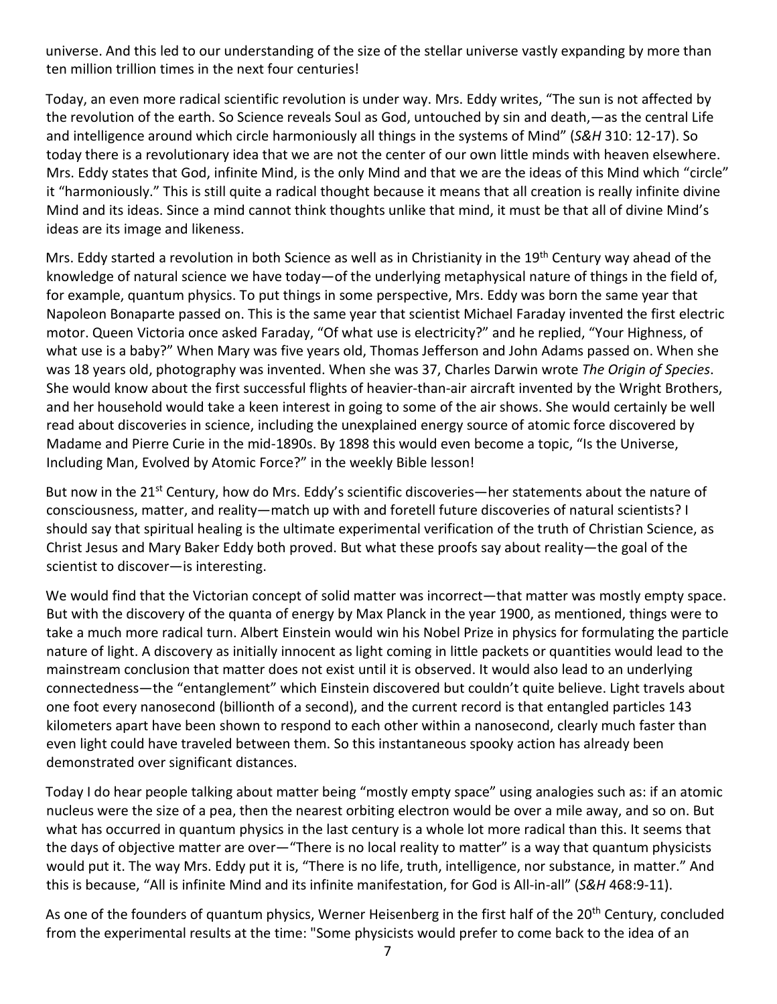universe. And this led to our understanding of the size of the stellar universe vastly expanding by more than ten million trillion times in the next four centuries!

Today, an even more radical scientific revolution is under way. Mrs. Eddy writes, "The sun is not affected by the revolution of the earth. So Science reveals Soul as God, untouched by sin and death,—as the central Life and intelligence around which circle harmoniously all things in the systems of Mind" (*S&H* 310: 12-17). So today there is a revolutionary idea that we are not the center of our own little minds with heaven elsewhere. Mrs. Eddy states that God, infinite Mind, is the only Mind and that we are the ideas of this Mind which "circle" it "harmoniously." This is still quite a radical thought because it means that all creation is really infinite divine Mind and its ideas. Since a mind cannot think thoughts unlike that mind, it must be that all of divine Mind's ideas are its image and likeness.

Mrs. Eddy started a revolution in both Science as well as in Christianity in the 19<sup>th</sup> Century way ahead of the knowledge of natural science we have today—of the underlying metaphysical nature of things in the field of, for example, quantum physics. To put things in some perspective, Mrs. Eddy was born the same year that Napoleon Bonaparte passed on. This is the same year that scientist Michael Faraday invented the first electric motor. Queen Victoria once asked Faraday, "Of what use is electricity?" and he replied, "Your Highness, of what use is a baby?" When Mary was five years old, Thomas Jefferson and John Adams passed on. When she was 18 years old, photography was invented. When she was 37, Charles Darwin wrote *The Origin of Species*. She would know about the first successful flights of heavier-than-air aircraft invented by the Wright Brothers, and her household would take a keen interest in going to some of the air shows. She would certainly be well read about discoveries in science, including the unexplained energy source of atomic force discovered by Madame and Pierre Curie in the mid-1890s. By 1898 this would even become a topic, "Is the Universe, Including Man, Evolved by Atomic Force?" in the weekly Bible lesson!

But now in the 21<sup>st</sup> Century, how do Mrs. Eddy's scientific discoveries—her statements about the nature of consciousness, matter, and reality—match up with and foretell future discoveries of natural scientists? I should say that spiritual healing is the ultimate experimental verification of the truth of Christian Science, as Christ Jesus and Mary Baker Eddy both proved. But what these proofs say about reality—the goal of the scientist to discover—is interesting.

We would find that the Victorian concept of solid matter was incorrect—that matter was mostly empty space. But with the discovery of the quanta of energy by Max Planck in the year 1900, as mentioned, things were to take a much more radical turn. Albert Einstein would win his Nobel Prize in physics for formulating the particle nature of light. A discovery as initially innocent as light coming in little packets or quantities would lead to the mainstream conclusion that matter does not exist until it is observed. It would also lead to an underlying connectedness—the "entanglement" which Einstein discovered but couldn't quite believe. Light travels about one foot every nanosecond (billionth of a second), and the current record is that entangled particles 143 kilometers apart have been shown to respond to each other within a nanosecond, clearly much faster than even light could have traveled between them. So this instantaneous spooky action has already been demonstrated over significant distances.

Today I do hear people talking about matter being "mostly empty space" using analogies such as: if an atomic nucleus were the size of a pea, then the nearest orbiting electron would be over a mile away, and so on. But what has occurred in quantum physics in the last century is a whole lot more radical than this. It seems that the days of objective matter are over—"There is no local reality to matter" is a way that quantum physicists would put it. The way Mrs. Eddy put it is, "There is no life, truth, intelligence, nor substance, in matter." And this is because, "All is infinite Mind and its infinite manifestation, for God is All-in-all" (*S&H* 468:9-11).

As one of the founders of quantum physics, Werner Heisenberg in the first half of the 20<sup>th</sup> Century, concluded from the experimental results at the time: "Some physicists would prefer to come back to the idea of an